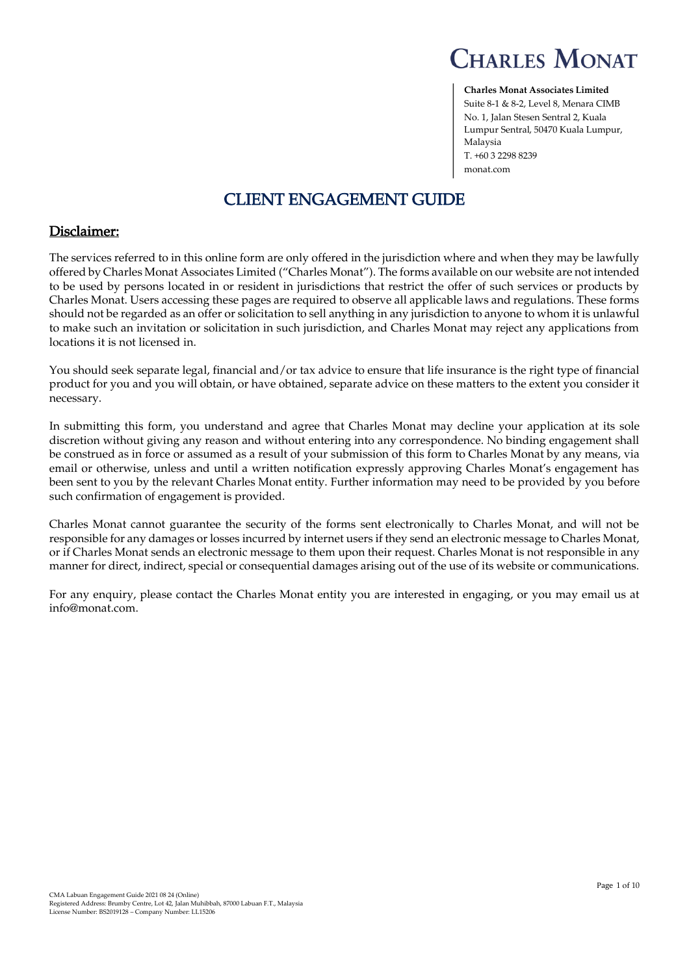

**Charles Monat Associates Limited** Suite 8-1 & 8-2, Level 8, Menara CIMB No. 1, Jalan Stesen Sentral 2, Kuala Lumpur Sentral, 50470 Kuala Lumpur, Malaysia T. +60 3 2298 8239 monat.com

# *CLIENT ENGAGEMENT GUIDE*

### *Disclaimer:*

*The services referred to in this online form are only offered in the jurisdiction where and when they may be lawfully offered by Charles Monat Associates Limited ("Charles Monat"). The forms available on our website are not intended to be used by persons located in or resident in jurisdictions that restrict the offer of such services or products by Charles Monat. Users accessing these pages are required to observe all applicable laws and regulations. These forms should not be regarded as an offer or solicitation to sell anything in any jurisdiction to anyone to whom it is unlawful to make such an invitation or solicitation in such jurisdiction, and Charles Monat may reject any applications from locations it is not licensed in.* 

*You should seek separate legal, financial and/or tax advice to ensure that life insurance is the right type of financial product for you and you will obtain, or have obtained, separate advice on these matters to the extent you consider it necessary.*

*In submitting this form, you understand and agree that Charles Monat may decline your application at its sole discretion without giving any reason and without entering into any correspondence. No binding engagement shall be construed as in force or assumed as a result of your submission of this form to Charles Monat by any means, via email or otherwise, unless and until a written notification expressly approving Charles Monat's engagement has been sent to you by the relevant Charles Monat entity. Further information may need to be provided by you before such confirmation of engagement is provided.*

*Charles Monat cannot guarantee the security of the forms sent electronically to Charles Monat, and will not be responsible for any damages or losses incurred by internet users if they send an electronic message to Charles Monat, or if Charles Monat sends an electronic message to them upon their request. Charles Monat is not responsible in any manner for direct, indirect, special or consequential damages arising out of the use of its website or communications.*

*For any enquiry, please contact the Charles Monat entity you are interested in engaging, or you may email us at info@monat.com.*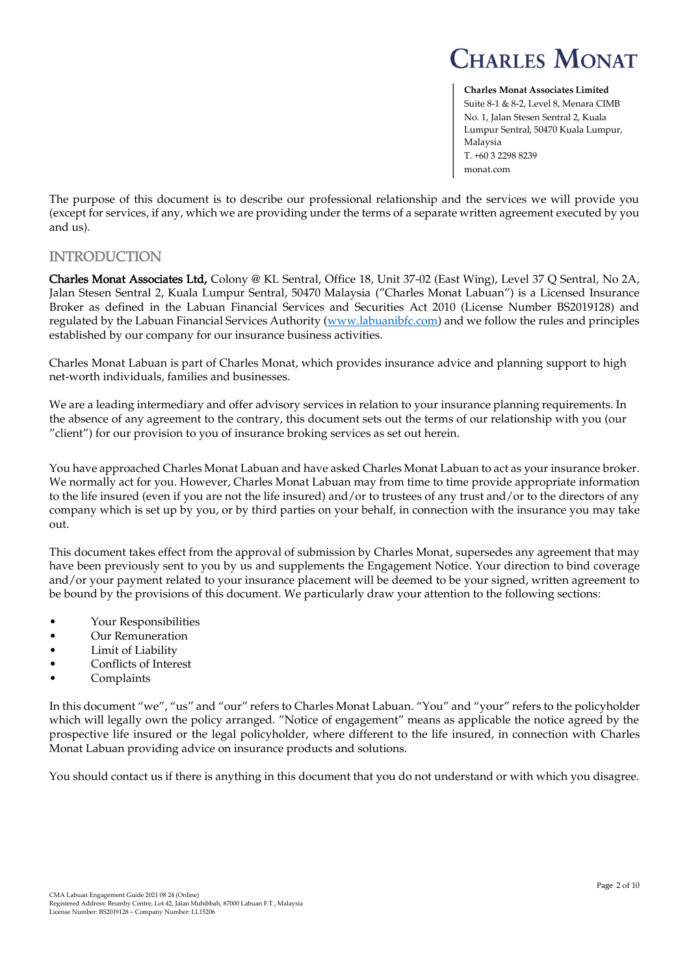**Charles Monat Associates Limited** Suite 8-1 & 8-2, Level 8, Menara CIMB No. 1, Jalan Stesen Sentral 2, Kuala Lumpur Sentral, 50470 Kuala Lumpur, Malaysia T. +60 3 2298 8239 monat.com

*The purpose of this document is to describe our professional relationship and the services we will provide you (except for services, if any, which we are providing under the terms of a separate written agreement executed by you and us).* 

### *INTRODUCTION*

*Charles Monat Associates Ltd, Colony @ KL Sentral, Office 18, Unit 37-02 (East Wing), Level 37 Q Sentral, No 2A, Jalan Stesen Sentral 2, Kuala Lumpur Sentral, 50470 Malaysia ("Charles Monat Labuan") is a Licensed Insurance Broker as defined in the Labuan Financial Services and Securities Act 2010 (License Number BS2019128) and regulated by the Labuan Financial Services Authority [\(www.labuanibfc.com\)](http://www.labuanibfc.com/)* and we follow the rules and principles *established by our company for our insurance business activities.* 

*Charles Monat Labuan is part of Charles Monat, which provides insurance advice and planning support to high net-worth individuals, families and businesses.* 

*We are a leading intermediary and offer advisory services in relation to your insurance planning requirements. In the absence of any agreement to the contrary, this document sets out the terms of our relationship with you (our "client") for our provision to you of insurance broking services as set out herein.* 

*You have approached Charles Monat Labuan and have asked Charles Monat Labuan to act as your insurance broker. We normally act for you. However, Charles Monat Labuan may from time to time provide appropriate information to the life insured (even if you are not the life insured) and/or to trustees of any trust and/or to the directors of any company which is set up by you, or by third parties on your behalf, in connection with the insurance you may take out.*

*This document takes effect from the approval of submission by Charles Monat, supersedes any agreement that may have been previously sent to you by us and supplements the Engagement Notice. Your direction to bind coverage and/or your payment related to your insurance placement will be deemed to be your signed, written agreement to be bound by the provisions of this document. We particularly draw your attention to the following sections:*

- *• Your Responsibilities*
- *• Our Remuneration*
- *• Limit of Liability*
- *• Conflicts of Interest*
- *• Complaints*

*In this document "we", "us" and "our" refers to Charles Monat Labuan. "You" and "your" refers to the policyholder which will legally own the policy arranged. "Notice of engagement" means as applicable the notice agreed by the prospective life insured or the legal policyholder, where different to the life insured, in connection with Charles Monat Labuan providing advice on insurance products and solutions.* 

*You should contact us if there is anything in this document that you do not understand or with which you disagree.*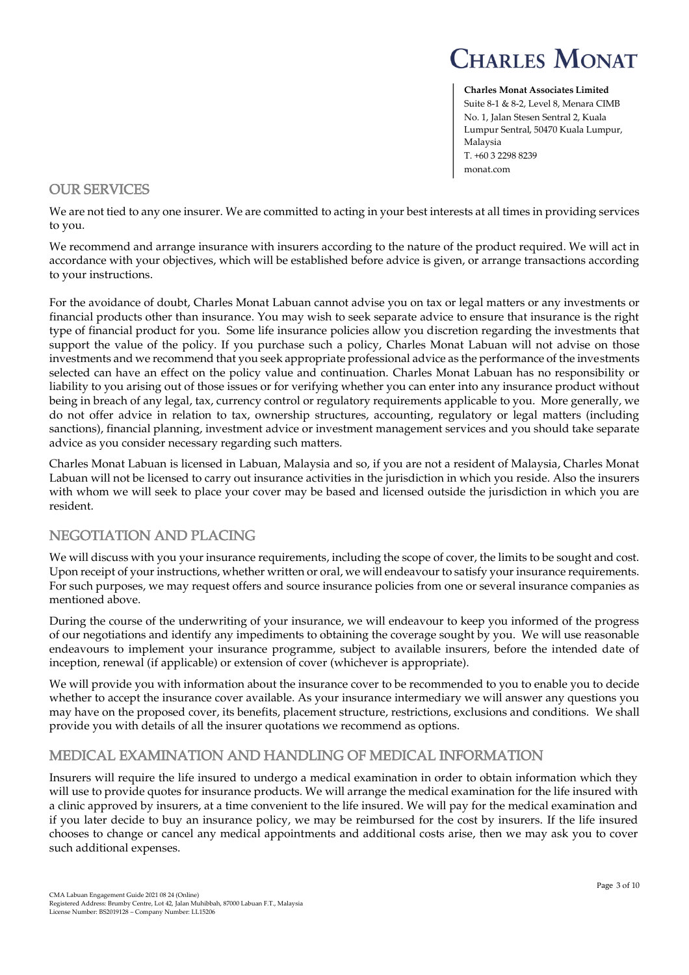**Charles Monat Associates Limited** Suite 8-1 & 8-2, Level 8, Menara CIMB No. 1, Jalan Stesen Sentral 2, Kuala Lumpur Sentral, 50470 Kuala Lumpur, Malaysia T. +60 3 2298 8239 monat.com

#### *OUR SERVICES*

 *We are not tied to any one insurer. We are committed to acting in your best interests at all times in providing services to you.* 

*We recommend and arrange insurance with insurers according to the nature of the product required. We will act in accordance with your objectives, which will be established before advice is given, or arrange transactions according to your instructions.* 

*For the avoidance of doubt, Charles Monat Labuan cannot advise you on tax or legal matters or any investments or financial products other than insurance. You may wish to seek separate advice to ensure that insurance is the right type of financial product for you. Some life insurance policies allow you discretion regarding the investments that support the value of the policy. If you purchase such a policy, Charles Monat Labuan will not advise on those investments and we recommend that you seek appropriate professional advice as the performance of the investments selected can have an effect on the policy value and continuation. Charles Monat Labuan has no responsibility or liability to you arising out of those issues or for verifying whether you can enter into any insurance product without*  being in breach of any legal, tax, currency control or regulatory requirements applicable to you. More generally, we *do not offer advice in relation to tax, ownership structures, accounting, regulatory or legal matters (including sanctions), financial planning, investment advice or investment management services and you should take separate advice as you consider necessary regarding such matters.*

*Charles Monat Labuan is licensed in Labuan, Malaysia and so, if you are not a resident of Malaysia, Charles Monat Labuan will not be licensed to carry out insurance activities in the jurisdiction in which you reside. Also the insurers with whom we will seek to place your cover may be based and licensed outside the jurisdiction in which you are resident.*

#### *NEGOTIATION AND PLACING*

*We will discuss with you your insurance requirements, including the scope of cover, the limits to be sought and cost. Upon receipt of your instructions, whether written or oral, we will endeavour to satisfy your insurance requirements. For such purposes, we may request offers and source insurance policies from one or several insurance companies as mentioned above.*

*During the course of the underwriting of your insurance, we will endeavour to keep you informed of the progress of our negotiations and identify any impediments to obtaining the coverage sought by you. We will use reasonable endeavours to implement your insurance programme, subject to available insurers, before the intended date of inception, renewal (if applicable) or extension of cover (whichever is appropriate).*

We will provide you with information about the insurance cover to be recommended to you to enable you to decide *whether to accept the insurance cover available. As your insurance intermediary we will answer any questions you may have on the proposed cover, its benefits, placement structure, restrictions, exclusions and conditions. We shall provide you with details of all the insurer quotations we recommend as options.* 

#### *MEDICAL EXAMINATION AND HANDLING OF MEDICAL INFORMATION*

*Insurers will require the life insured to undergo a medical examination in order to obtain information which they will use to provide quotes for insurance products. We will arrange the medical examination for the life insured with a clinic approved by insurers, at a time convenient to the life insured. We will pay for the medical examination and if you later decide to buy an insurance policy, we may be reimbursed for the cost by insurers. If the life insured chooses to change or cancel any medical appointments and additional costs arise, then we may ask you to cover such additional expenses.*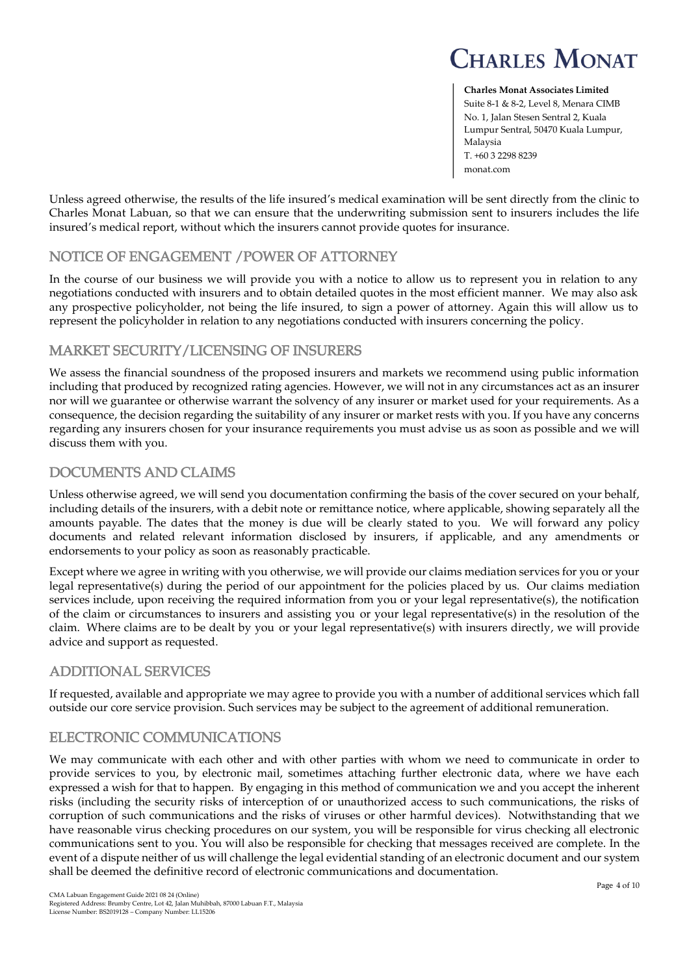**Charles Monat Associates Limited** Suite 8-1 & 8-2, Level 8, Menara CIMB No. 1, Jalan Stesen Sentral 2, Kuala Lumpur Sentral, 50470 Kuala Lumpur, Malaysia T. +60 3 2298 8239 monat.com

*Unless agreed otherwise, the results of the life insured's medical examination will be sent directly from the clinic to Charles Monat Labuan, so that we can ensure that the underwriting submission sent to insurers includes the life insured's medical report, without which the insurers cannot provide quotes for insurance.* 

## *NOTICE OF ENGAGEMENT /POWER OF ATTORNEY*

In the course of our business we will provide you with a notice to allow us to represent you in relation to any *negotiations conducted with insurers and to obtain detailed quotes in the most efficient manner. We may also ask any prospective policyholder, not being the life insured, to sign a power of attorney. Again this will allow us to represent the policyholder in relation to any negotiations conducted with insurers concerning the policy.* 

#### *MARKET SECURITY/LICENSING OF INSURERS*

*We assess the financial soundness of the proposed insurers and markets we recommend using public information including that produced by recognized rating agencies. However, we will not in any circumstances act as an insurer nor will we guarantee or otherwise warrant the solvency of any insurer or market used for your requirements. As a consequence, the decision regarding the suitability of any insurer or market rests with you. If you have any concerns regarding any insurers chosen for your insurance requirements you must advise us as soon as possible and we will discuss them with you.*

### *DOCUMENTS AND CLAIMS*

*Unless otherwise agreed, we will send you documentation confirming the basis of the cover secured on your behalf, including details of the insurers, with a debit note or remittance notice, where applicable, showing separately all the amounts payable. The dates that the money is due will be clearly stated to you. We will forward any policy*  documents and related relevant information disclosed by insurers, if applicable, and any amendments or *endorsements to your policy as soon as reasonably practicable.*

*Except where we agree in writing with you otherwise, we will provide our claims mediation services for you or your legal representative(s) during the period of our appointment for the policies placed by us. Our claims mediation services include, upon receiving the required information from you or your legal representative(s), the notification of the claim or circumstances to insurers and assisting you or your legal representative(s) in the resolution of the claim. Where claims are to be dealt by you or your legal representative(s) with insurers directly, we will provide advice and support as requested.*

### *ADDITIONAL SERVICES*

*If requested, available and appropriate we may agree to provide you with a number of additional services which fall outside our core service provision. Such services may be subject to the agreement of additional remuneration.*

### *ELECTRONIC COMMUNICATIONS*

*We may communicate with each other and with other parties with whom we need to communicate in order to provide services to you, by electronic mail, sometimes attaching further electronic data, where we have each expressed a wish for that to happen. By engaging in this method of communication we and you accept the inherent*  risks (including the security risks of interception of or unauthorized access to such communications, the risks of *corruption of such communications and the risks of viruses or other harmful devices). Notwithstanding that we have reasonable virus checking procedures on our system, you will be responsible for virus checking all electronic communications sent to you. You will also be responsible for checking that messages received are complete. In the event of a dispute neither of us will challenge the legal evidential standing of an electronic document and our system shall be deemed the definitive record of electronic communications and documentation.*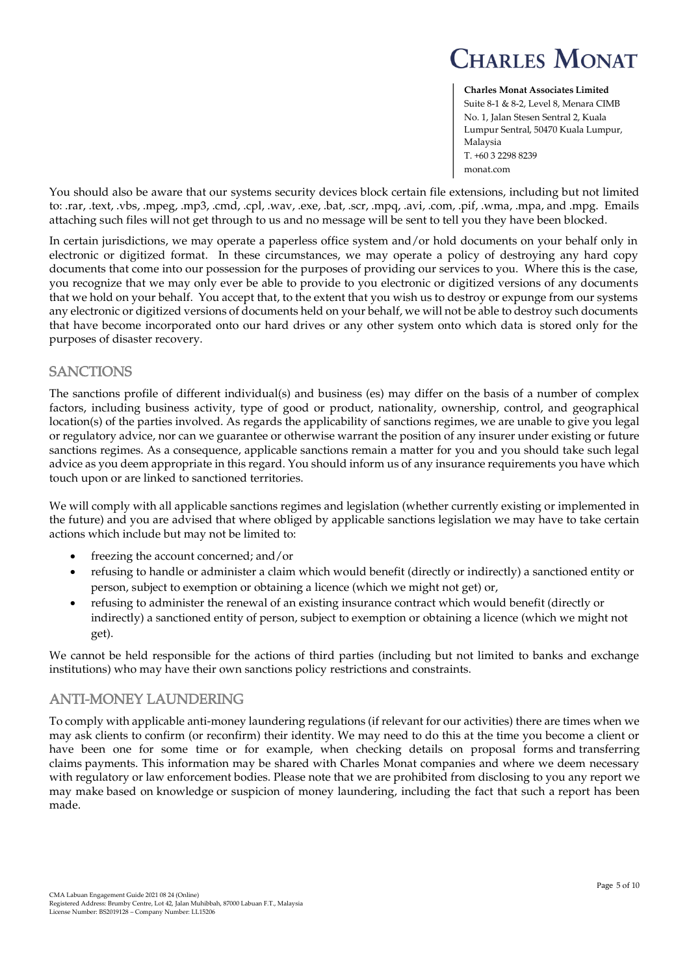**Charles Monat Associates Limited** Suite 8-1 & 8-2, Level 8, Menara CIMB No. 1, Jalan Stesen Sentral 2, Kuala Lumpur Sentral, 50470 Kuala Lumpur, Malaysia T. +60 3 2298 8239 monat.com

*You should also be aware that our systems security devices block certain file extensions, including but not limited to: .rar, .text, .vbs, .mpeg, .mp3, .cmd, .cpl, .wav, .exe, .bat, .scr, .mpq, .avi, .com, .pif, .wma, .mpa, and .mpg. Emails attaching such files will not get through to us and no message will be sent to tell you they have been blocked.*

In certain jurisdictions, we may operate a paperless office system and/or hold documents on your behalf only in *electronic or digitized format. In these circumstances, we may operate a policy of destroying any hard copy documents that come into our possession for the purposes of providing our services to you. Where this is the case, you recognize that we may only ever be able to provide to you electronic or digitized versions of any documents that we hold on your behalf. You accept that, to the extent that you wish us to destroy or expunge from our systems any electronic or digitized versions of documents held on your behalf, we will not be able to destroy such documents that have become incorporated onto our hard drives or any other system onto which data is stored only for the purposes of disaster recovery.* 

### *SANCTIONS*

*The sanctions profile of different individual(s) and business (es) may differ on the basis of a number of complex factors, including business activity, type of good or product, nationality, ownership, control, and geographical location(s) of the parties involved. As regards the applicability of sanctions regimes, we are unable to give you legal or regulatory advice, nor can we guarantee or otherwise warrant the position of any insurer under existing or future*  sanctions regimes. As a consequence, applicable sanctions remain a matter for you and you should take such legal *advice as you deem appropriate in this regard. You should inform us of any insurance requirements you have which touch upon or are linked to sanctioned territories.*

*We will comply with all applicable sanctions regimes and legislation (whether currently existing or implemented in the future) and you are advised that where obliged by applicable sanctions legislation we may have to take certain actions which include but may not be limited to:*

- *freezing the account concerned; and/or*
- *refusing to handle or administer a claim which would benefit (directly or indirectly) a sanctioned entity or person, subject to exemption or obtaining a licence (which we might not get) or,*
- *refusing to administer the renewal of an existing insurance contract which would benefit (directly or indirectly) a sanctioned entity of person, subject to exemption or obtaining a licence (which we might not get).*

We cannot be held responsible for the actions of third parties (including but not limited to banks and exchange *institutions) who may have their own sanctions policy restrictions and constraints.*

#### *ANTI-MONEY LAUNDERING*

*To comply with applicable anti-money laundering regulations (if relevant for our activities) there are times when we may ask clients to confirm (or reconfirm) their identity. We may need to do this at the time you become a client or have been one for some time or for example, when checking details on proposal forms and transferring claims payments. This information may be shared with Charles Monat companies and where we deem necessary with regulatory or law enforcement bodies. Please note that we are prohibited from disclosing to you any report we may make based on knowledge or suspicion of money laundering, including the fact that such a report has been made.*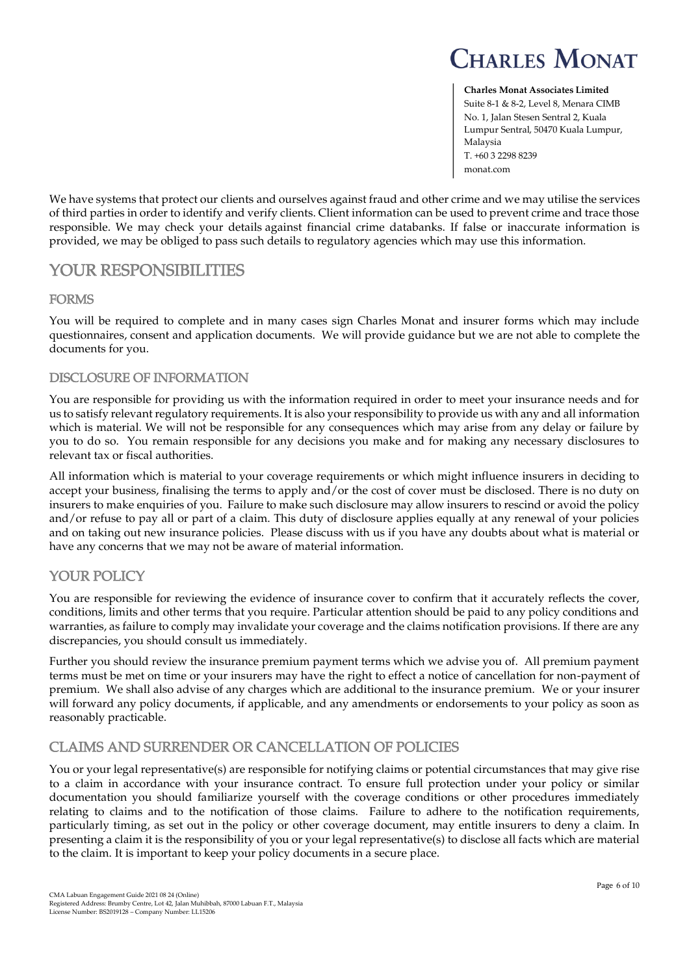

**Charles Monat Associates Limited** Suite 8-1 & 8-2, Level 8, Menara CIMB No. 1, Jalan Stesen Sentral 2, Kuala Lumpur Sentral, 50470 Kuala Lumpur, Malaysia T. +60 3 2298 8239 monat.com

*We have systems that protect our clients and ourselves against fraud and other crime and we may utilise the services of third parties in order to identify and verify clients. Client information can be used to prevent crime and trace those responsible. We may check your details against financial crime databanks. If false or inaccurate information is provided, we may be obliged to pass such details to regulatory agencies which may use this information.*

#### *YOUR RESPONSIBILITIES*

#### *FORMS*

*You will be required to complete and in many cases sign Charles Monat and insurer forms which may include questionnaires, consent and application documents. We will provide guidance but we are not able to complete the documents for you.* 

#### *DISCLOSURE OF INFORMATION*

*You are responsible for providing us with the information required in order to meet your insurance needs and for us to satisfy relevant regulatory requirements. It is also your responsibility to provide us with any and all information which is material. We will not be responsible for any consequences which may arise from any delay or failure by you to do so. You remain responsible for any decisions you make and for making any necessary disclosures to relevant tax or fiscal authorities.*

*All information which is material to your coverage requirements or which might influence insurers in deciding to accept your business, finalising the terms to apply and/or the cost of cover must be disclosed. There is no duty on insurers to make enquiries of you. Failure to make such disclosure may allow insurers to rescind or avoid the policy and/or refuse to pay all or part of a claim. This duty of disclosure applies equally at any renewal of your policies and on taking out new insurance policies. Please discuss with us if you have any doubts about what is material or have any concerns that we may not be aware of material information.*

#### *YOUR POLICY*

*You are responsible for reviewing the evidence of insurance cover to confirm that it accurately reflects the cover, conditions, limits and other terms that you require. Particular attention should be paid to any policy conditions and warranties, as failure to comply may invalidate your coverage and the claims notification provisions. If there are any discrepancies, you should consult us immediately.* 

*Further you should review the insurance premium payment terms which we advise you of. All premium payment terms must be met on time or your insurers may have the right to effect a notice of cancellation for non-payment of premium. We shall also advise of any charges which are additional to the insurance premium. We or your insurer*  will forward any policy documents, if applicable, and any amendments or endorsements to your policy as soon as *reasonably practicable.*

#### *CLAIMS AND SURRENDER OR CANCELLATION OF POLICIES*

*You or your legal representative(s) are responsible for notifying claims or potential circumstances that may give rise to a claim in accordance with your insurance contract. To ensure full protection under your policy or similar documentation you should familiarize yourself with the coverage conditions or other procedures immediately relating to claims and to the notification of those claims. Failure to adhere to the notification requirements, particularly timing, as set out in the policy or other coverage document, may entitle insurers to deny a claim. In presenting a claim it is the responsibility of you or your legal representative(s) to disclose all facts which are material to the claim. It is important to keep your policy documents in a secure place.*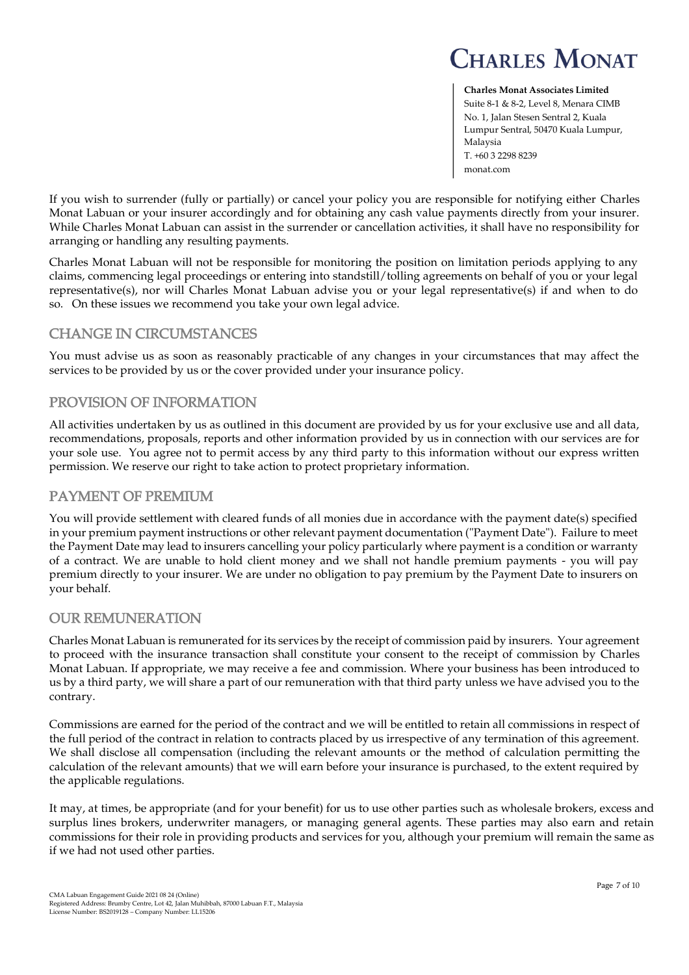**Charles Monat Associates Limited** Suite 8-1 & 8-2, Level 8, Menara CIMB No. 1, Jalan Stesen Sentral 2, Kuala Lumpur Sentral, 50470 Kuala Lumpur, Malaysia T. +60 3 2298 8239 monat.com

*If you wish to surrender (fully or partially) or cancel your policy you are responsible for notifying either Charles Monat Labuan or your insurer accordingly and for obtaining any cash value payments directly from your insurer. While Charles Monat Labuan can assist in the surrender or cancellation activities, it shall have no responsibility for arranging or handling any resulting payments.*

*Charles Monat Labuan will not be responsible for monitoring the position on limitation periods applying to any claims, commencing legal proceedings or entering into standstill/tolling agreements on behalf of you or your legal representative(s), nor will Charles Monat Labuan advise you or your legal representative(s) if and when to do so. On these issues we recommend you take your own legal advice.*

### *CHANGE IN CIRCUMSTANCES*

*You must advise us as soon as reasonably practicable of any changes in your circumstances that may affect the services to be provided by us or the cover provided under your insurance policy.*

#### *PROVISION OF INFORMATION*

*All activities undertaken by us as outlined in this document are provided by us for your exclusive use and all data, recommendations, proposals, reports and other information provided by us in connection with our services are for your sole use. You agree not to permit access by any third party to this information without our express written permission. We reserve our right to take action to protect proprietary information.*

#### *PAYMENT OF PREMIUM*

*You will provide settlement with cleared funds of all monies due in accordance with the payment date(s) specified in your premium payment instructions or other relevant payment documentation ("Payment Date"). Failure to meet the Payment Date may lead to insurers cancelling your policy particularly where payment is a condition or warranty of a contract. We are unable to hold client money and we shall not handle premium payments - you will pay premium directly to your insurer. We are under no obligation to pay premium by the Payment Date to insurers on your behalf.*

#### *OUR REMUNERATION*

*Charles Monat Labuan is remunerated for its services by the receipt of commission paid by insurers. Your agreement to proceed with the insurance transaction shall constitute your consent to the receipt of commission by Charles Monat Labuan. If appropriate, we may receive a fee and commission. Where your business has been introduced to us by a third party, we will share a part of our remuneration with that third party unless we have advised you to the contrary.* 

*Commissions are earned for the period of the contract and we will be entitled to retain all commissions in respect of the full period of the contract in relation to contracts placed by us irrespective of any termination of this agreement.*  We shall disclose all compensation (including the relevant amounts or the method of calculation permitting the *calculation of the relevant amounts) that we will earn before your insurance is purchased, to the extent required by the applicable regulations.*

*It may, at times, be appropriate (and for your benefit) for us to use other parties such as wholesale brokers, excess and surplus lines brokers, underwriter managers, or managing general agents. These parties may also earn and retain commissions for their role in providing products and services for you, although your premium will remain the same as if we had not used other parties.*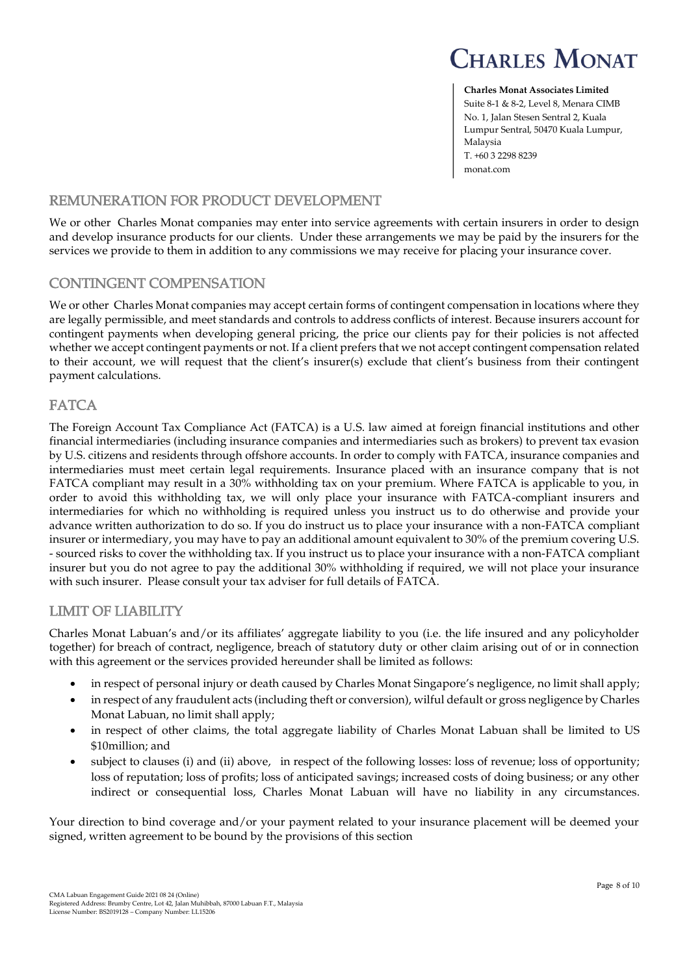

**Charles Monat Associates Limited** Suite 8-1 & 8-2, Level 8, Menara CIMB No. 1, Jalan Stesen Sentral 2, Kuala Lumpur Sentral, 50470 Kuala Lumpur, Malaysia T. +60 3 2298 8239 monat.com

#### *REMUNERATION FOR PRODUCT DEVELOPMENT*

*We or other Charles Monat companies may enter into service agreements with certain insurers in order to design*  and develop insurance products for our clients. Under these arrangements we may be paid by the insurers for the *services we provide to them in addition to any commissions we may receive for placing your insurance cover.* 

#### *CONTINGENT COMPENSATION*

*We or other Charles Monat companies may accept certain forms of contingent compensation in locations where they are legally permissible, and meet standards and controls to address conflicts of interest. Because insurers account for contingent payments when developing general pricing, the price our clients pay for their policies is not affected whether we accept contingent payments or not. If a client prefers that we not accept contingent compensation related to their account, we will request that the client's insurer(s) exclude that client's business from their contingent payment calculations.*

#### *FATCA*

*The Foreign Account Tax Compliance Act (FATCA) is a U.S. law aimed at foreign financial institutions and other financial intermediaries (including insurance companies and intermediaries such as brokers) to prevent tax evasion by U.S. citizens and residents through offshore accounts. In order to comply with FATCA, insurance companies and intermediaries must meet certain legal requirements. Insurance placed with an insurance company that is not FATCA compliant may result in a 30% withholding tax on your premium. Where FATCA is applicable to you, in order to avoid this withholding tax, we will only place your insurance with FATCA-compliant insurers and intermediaries for which no withholding is required unless you instruct us to do otherwise and provide your advance written authorization to do so. If you do instruct us to place your insurance with a non-FATCA compliant insurer or intermediary, you may have to pay an additional amount equivalent to 30% of the premium covering U.S. - sourced risks to cover the withholding tax. If you instruct us to place your insurance with a non-FATCA compliant insurer but you do not agree to pay the additional 30% withholding if required, we will not place your insurance with such insurer. Please consult your tax adviser for full details of FATCA.*

#### *LIMIT OF LIABILITY*

*Charles Monat Labuan's and/or its affiliates' aggregate liability to you (i.e. the life insured and any policyholder together) for breach of contract, negligence, breach of statutory duty or other claim arising out of or in connection with this agreement or the services provided hereunder shall be limited as follows:*

- *in respect of personal injury or death caused by Charles Monat Singapore's negligence, no limit shall apply;*
- *in respect of any fraudulent acts (including theft or conversion), wilful default or gross negligence by Charles Monat Labuan, no limit shall apply;*
- *in respect of other claims, the total aggregate liability of Charles Monat Labuan shall be limited to US \$10million; and*
- *subject to clauses (i) and (ii) above, in respect of the following losses: loss of revenue; loss of opportunity; loss of reputation; loss of profits; loss of anticipated savings; increased costs of doing business; or any other indirect or consequential loss, Charles Monat Labuan will have no liability in any circumstances.*

*Your direction to bind coverage and/or your payment related to your insurance placement will be deemed your signed, written agreement to be bound by the provisions of this section*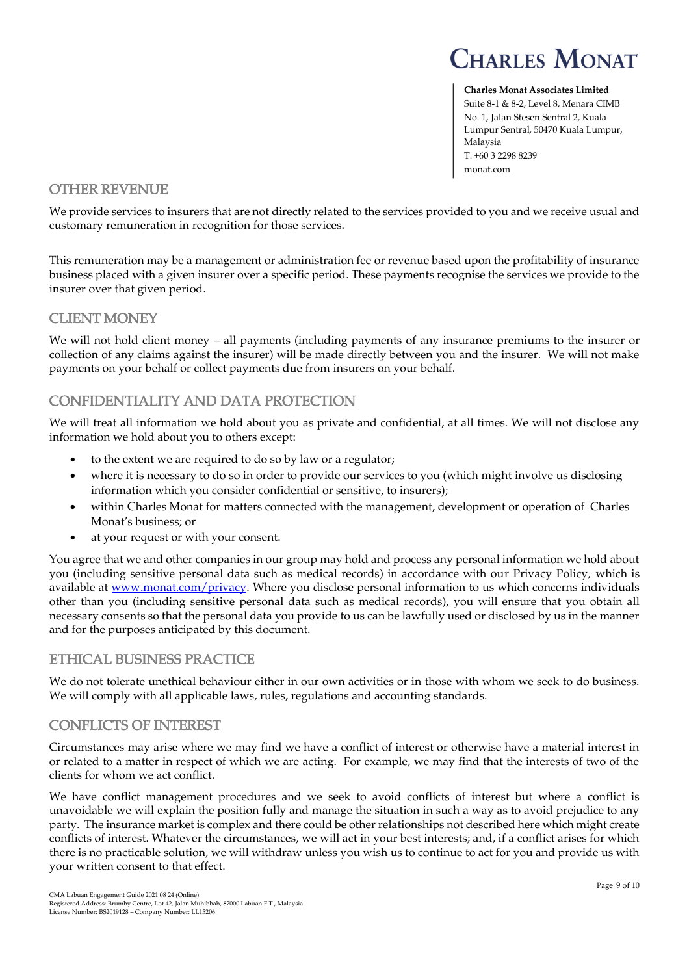**Charles Monat Associates Limited** Suite 8-1 & 8-2, Level 8, Menara CIMB No. 1, Jalan Stesen Sentral 2, Kuala Lumpur Sentral, 50470 Kuala Lumpur, Malaysia T. +60 3 2298 8239 monat.com

#### *OTHER REVENUE*

 *We provide services to insurers that are not directly related to the services provided to you and we receive usual and customary remuneration in recognition for those services.*

*This remuneration may be a management or administration fee or revenue based upon the profitability of insurance business placed with a given insurer over a specific period. These payments recognise the services we provide to the insurer over that given period.*

### *CLIENT MONEY*

*We will not hold client money – all payments (including payments of any insurance premiums to the insurer or collection of any claims against the insurer) will be made directly between you and the insurer. We will not make payments on your behalf or collect payments due from insurers on your behalf.* 

## *CONFIDENTIALITY AND DATA PROTECTION*

We will treat all information we hold about you as private and confidential, at all times. We will not disclose any *information we hold about you to others except:* 

- *to the extent we are required to do so by law or a regulator;*
- *where it is necessary to do so in order to provide our services to you (which might involve us disclosing information which you consider confidential or sensitive, to insurers);*
- *within Charles Monat for matters connected with the management, development or operation of Charles Monat's business; or*
- *at your request or with your consent.*

*You agree that we and other companies in our group may hold and process any personal information we hold about you (including sensitive personal data such as medical records) in accordance with our Privacy Policy, which is available at [www.monat.com/privacy.](http://www.monat.com/privacy) Where you disclose personal information to us which concerns individuals other than you (including sensitive personal data such as medical records), you will ensure that you obtain all necessary consents so that the personal data you provide to us can be lawfully used or disclosed by us in the manner and for the purposes anticipated by this document.*

#### *ETHICAL BUSINESS PRACTICE*

*We do not tolerate unethical behaviour either in our own activities or in those with whom we seek to do business. We will comply with all applicable laws, rules, regulations and accounting standards.*

#### *CONFLICTS OF INTEREST*

*Circumstances may arise where we may find we have a conflict of interest or otherwise have a material interest in or related to a matter in respect of which we are acting. For example, we may find that the interests of two of the clients for whom we act conflict.*

We have conflict management procedures and we seek to avoid conflicts of interest but where a conflict is *unavoidable we will explain the position fully and manage the situation in such a way as to avoid prejudice to any party. The insurance market is complex and there could be other relationships not described here which might create conflicts of interest. Whatever the circumstances, we will act in your best interests; and, if a conflict arises for which there is no practicable solution, we will withdraw unless you wish us to continue to act for you and provide us with your written consent to that effect.*